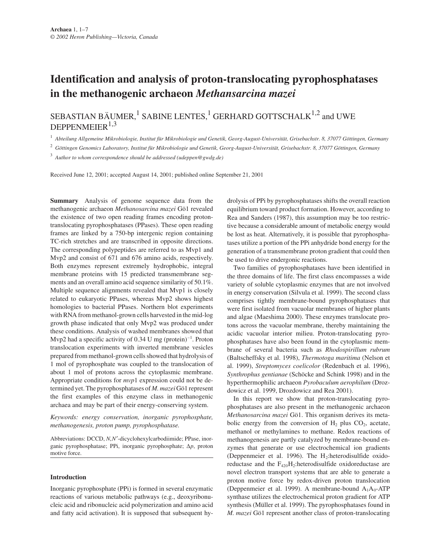# **Identification and analysis of proton-translocating pyrophosphatases in the methanogenic archaeon** *Methansarcina mazei*

SEBASTIAN BÄUMER, $^1$  SABINE LENTES, $^1$  GERHARD GOTTSCHALK $^{1,2}$  and UWE DEPPENMEIER $1,3$ 

<sup>1</sup> *Abteilung Allgemeine Mikrobiologie, Institut für Mikrobiologie und Genetik, Georg-August-Universität, Grisebachstr. 8, 37077 Göttingen, Germany*

<sup>2</sup> *Göttingen Genomics Laboratory, Institut für Mikrobiologie und Genetik, Georg-August-Universität, Grisebachstr. 8, 37077 Göttingen, Germany*

<sup>3</sup> *Author to whom correspondence should be addressed (udeppen@gwdg.de)*

Received June 12, 2001; accepted August 14, 2001; published online September 21, 2001

**Summary** Analysis of genome sequence data from the methanogenic archaeon *Methanosarcina mazei* Gö1 revealed the existence of two open reading frames encoding protontranslocating pyrophosphatases (PPases). These open reading frames are linked by a 750-bp intergenic region containing TC-rich stretches and are transcribed in opposite directions. The corresponding polypeptides are referred to as Mvp1 and Mvp2 and consist of 671 and 676 amino acids, respectively. Both enzymes represent extremely hydrophobic, integral membrane proteins with 15 predicted transmembrane segments and an overall amino acid sequence similarity of 50.1%. Multiple sequence alignments revealed that Mvp1 is closely related to eukaryotic PPases, whereas Mvp2 shows highest homologies to bacterial PPases. Northern blot experiments with RNA from methanol-grown cells harvested in the mid-log growth phase indicated that only Mvp2 was produced under these conditions. Analysis of washed membranes showed that Mvp2 had a specific activity of 0.34 U mg (protein) $^{-1}$ . Proton translocation experiments with inverted membrane vesicles prepared from methanol-grown cells showed that hydrolysis of 1 mol of pyrophosphate was coupled to the translocation of about 1 mol of protons across the cytoplasmic membrane. Appropriate conditions for *mvp*1 expression could not be determined yet. The pyrophosphatases of *M. mazei* Gö1 represent the first examples of this enzyme class in methanogenic archaea and may be part of their energy-conserving system.

*Keywords: energy conservation, inorganic pyrophosphate, methanogenesis, proton pump, pyrophosphatase.*

Abbreviations: DCCD, *N*,*N*′-dicyclohexylcarbodiimide; PPase, inorganic pyrophosphatase; PPi, inorganic pyrophosphate; ∆*p*, proton motive force.

# **Introduction**

Inorganic pyrophosphate (PPi) is formed in several enzymatic reactions of various metabolic pathways (e.g., deoxyribonucleic acid and ribonucleic acid polymerization and amino acid and fatty acid activation). It is supposed that subsequent hydrolysis of PPi by pyrophosphatases shifts the overall reaction equilibrium toward product formation. However, according to Rea and Sanders (1987), this assumption may be too restrictive because a considerable amount of metabolic energy would be lost as heat. Alternatively, it is possible that pyrophosphatases utilize a portion of the PPi anhydride bond energy for the generation of a transmembrane proton gradient that could then be used to drive endergonic reactions.

Two families of pyrophosphatases have been identified in the three domains of life. The first class encompasses a wide variety of soluble cytoplasmic enzymes that are not involved in energy conservation (Silvula et al. 1999). The second class comprises tightly membrane-bound pyrophosphatases that were first isolated from vacuolar membranes of higher plants and algae (Maeshima 2000). These enzymes translocate protons across the vacuolar membrane, thereby maintaining the acidic vacuolar interior milieu. Proton-translocating pyrophosphatases have also been found in the cytoplasmic membrane of several bacteria such as *Rhodospirillum rubrum* (Baltscheffsky et al. 1998), *Thermotoga maritima* (Nelson et al. 1999), *Streptomyces coelicolor* (Redenbach et al. 1996), *Synthrophus gentianae* (Schöcke and Schink 1998) and in the hyperthermophilic archaeon *Pyrobaculum aerophilum* (Drozdowicz et al. 1999, Drozdowicz and Rea 2001).

In this report we show that proton-translocating pyrophosphatases are also present in the methanogenic archaeon *Methanosarcina mazei* Gö1. This organism derives its metabolic energy from the conversion of  $H_2$  plus  $CO_2$ , acetate, methanol or methylamines to methane. Redox reactions of methanogenesis are partly catalyzed by membrane-bound enzymes that generate or use electrochemical ion gradients (Deppenmeier et al. 1996). The H<sub>2</sub>:heterodisulfide oxidoreductase and the  $F_{420}H_2$ :heterodisulfide oxidoreductase are novel electron transport systems that are able to generate a proton motive force by redox-driven proton translocation (Deppenmeier et al. 1999). A membrane-bound  $A_1A_0$ -ATP synthase utilizes the electrochemical proton gradient for ATP synthesis (Müller et al. 1999). The pyrophosphatases found in *M. mazei* Gö1 represent another class of proton-translocating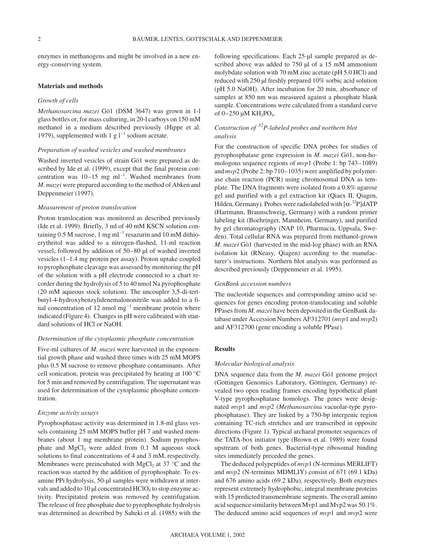enzymes in methanogens and might be involved in a new energy-conserving system.

#### **Materials and methods**

# *Growth of cells*

*Methanosarcina mazei* Gö1 (DSM 3647) was grown in 1-l glass bottles or, for mass culturing, in 20-l carboys on 150 mM methanol in a medium described previously (Hippe et al. 1979), supplemented with 1 g  $1^{-1}$  sodium acetate.

# *Preparation of washed vesicles and washed membranes*

Washed inverted vesicles of strain Gö1 were prepared as described by Ide et al. (1999), except that the final protein concentration was  $10-15$  mg ml<sup>-1</sup>. Washed membranes from *M. mazei* were prepared according to the method of Abken and Deppenmeier (1997).

# *Measurement of proton translocation*

Proton translocation was monitored as described previously (Ide et al. 1999). Briefly, 3 ml of 40 mM KSCN solution containing 0.5 M sucrose, 1 mg m $l^{-1}$  resazurin and 10 mM dithioerythritol was added to a nitrogen-flushed, 11-ml reaction vessel, followed by addition of 50–80 µl of washed inverted vesicles (1–1.4 mg protein per assay). Proton uptake coupled to pyrophosphate cleavage was assessed by monitoring the pH of the solution with a pH electrode connected to a chart recorder during the hydrolysis of 5 to 40 nmol Na pyrophosphate (20 mM aqueous stock solution). The uncoupler 3,5-di-tertbutyl-4-hydroxybenzylidenemalononitrile was added to a final concentration of 12 nmol  $mg^{-1}$  membrane protein where indicated (Figure 4). Changes in pH were calibrated with standard solutions of HCl or NaOH.

#### *Determination of the cytoplasmic phosphate concentration*

Five-ml cultures of *M. mazei* were harvested in the exponential growth phase and washed three times with 25 mM MOPS plus 0.5 M sucrose to remove phosphate contaminants. After cell sonication, protein was precipitated by heating at 100 °C for 5 min and removed by centrifugation. The supernatant was used for determination of the cytoplasmic phosphate concentration.

#### *Enzyme activity assays*

Pyrophosphatase activity was determined in 1.8-ml glass vessels containing 25 mM MOPS buffer pH 7 and washed membranes (about 1 mg membrane protein). Sodium pyrophosphate and  $MgCl<sub>2</sub>$  were added from 0.1 M aqueous stock solutions to final concentrations of 4 and 3 mM, respectively. Membranes were preincubated with MgCl<sub>2</sub> at 37  $\degree$ C and the reaction was started by the addition of pyrophosphate. To examine PPi hydrolysis, 50-µl samples were withdrawn at intervals and added to 10  $\mu$ l concentrated HClO<sub>4</sub> to stop enzyme activity. Precipitated protein was removed by centrifugation. The release of free phosphate due to pyrophosphate hydrolysis was determined as described by Saheki et al. (1985) with the following specifications. Each 25-µl sample prepared as described above was added to 750 µl of a 15 mM ammonium molybdate solution with 70 mM zinc acetate (pH 5.0 HCl) and reduced with 250 µl freshly prepared 10% sorbic acid solution (pH 5.0 NaOH). After incubation for 20 min, absorbance of samples at 850 nm was measured against a phosphate blank sample. Concentrations were calculated from a standard curve of 0–250 µM KH<sub>2</sub>PO<sub>4</sub>.

# *Construction of 32P-labeled probes and northern blot analysis*

For the construction of specific DNA probes for studies of pyrophosphatase gene expression in *M. mazei* Gö1, non-homologous sequence regions of *mvp*1 (Probe 1: bp 743–1089) and *mvp*2 (Probe 2: bp 710–1035) were amplified by polymerase chain reaction (PCR) using chromosomal DNA as template. The DNA fragments were isolated from a 0.8% agarose gel and purified with a gel extraction kit (Qiaex II, Qiagen, Hilden, Germany). Probes were radiolabeled with  $[\alpha^{-32}P]$ dATP (Hartmann, Braunschweig, Germany) with a random primer labeling kit (Boehringer, Mannheim, Germany), and purified by gel chromatography (NAP 10, Pharmacia, Uppsala, Sweden). Total cellular RNA was prepared from methanol-grown *M. mazei* Gö1 (harvested in the mid-log phase) with an RNA isolation kit (RNeasy, Qiagen) according to the manufacturer's instructions. Northern blot analysis was performed as described previously (Deppenmeier et al. 1995).

# *GenBank accession numbers*

The nucleotide sequences and corresponding amino acid sequences for genes encoding proton-translocating and soluble PPases from *M. mazei* have been deposited in the GenBank database under Accession Numbers AF312701 (*mvp*1 and *mvp*2) and AF312700 (gene encoding a soluble PPase).

### **Results**

#### *Molecular biological analysis*

DNA sequence data from the *M. mazei* Gö1 genome project (Göttingen Genomics Laboratory, Göttingen, Germany) revealed two open reading frames encoding hypothetical plant V-type pyrophosphatase homologs. The genes were designated *mvp*1 and *mvp*2 (*Methanosarcina* vacuolar-type pyrophosphatase). They are linked by a 750-bp intergenic region containing TC-rich stretches and are transcribed in opposite directions (Figure 1). Typical archaeal promoter sequences of the TATA-box initiator type (Brown et al. 1989) were found upstream of both genes. Bacterial-type ribosomal binding sites immediately preceded the genes.

The deduced polypeptides of *mvp*1 (N-terminus MERLIFT) and *mvp*2 (N-terminus MDMLIY) consist of 671 (69.1 kDa) and 676 amino acids (69.2 kDa), respectively. Both enzymes represent extremely hydrophobic, integral membrane proteins with 15 predicted transmembrane segments. The overall amino acid sequence similarity between Mvp1 and Mvp2 was 50.1%. The deduced amino acid sequences of *mvp*1 and *mvp*2 were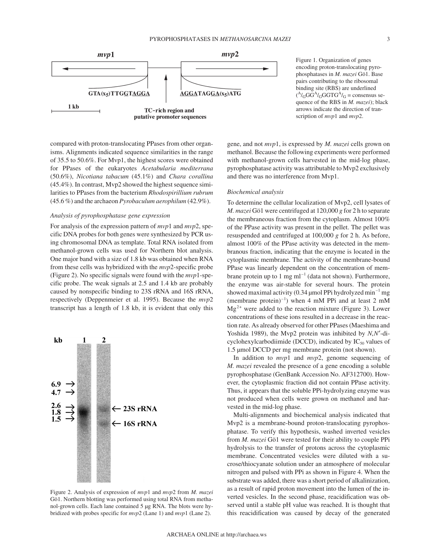

compared with proton-translocating PPases from other organisms. Alignments indicated sequence similarities in the range of 35.5 to 50.6%. For Mvp1, the highest scores were obtained for PPases of the eukaryotes *Acetabularia mediterrana* (50.6%), *Nicotiana tabacum* (45.1%) and *Chara corallina* (45.4%). In contrast, Mvp2 showed the highest sequence similarities to PPases from the bacterium *Rhodospirillium rubrum* (45.6 %) and the archaeon *Pyrobaculum aerophilum* (42.9%).

# *Analysis of pyrophosphatase gene expression*

For analysis of the expression pattern of *mvp*1 and *mvp*2, specific DNA probes for both genes were synthesized by PCR using chromosomal DNA as template. Total RNA isolated from methanol-grown cells was used for Northern blot analysis. One major band with a size of 1.8 kb was obtained when RNA from these cells was hybridized with the *mvp*2-specific probe (Figure 2). No specific signals were found with the *mvp*1-specific probe. The weak signals at 2.5 and 1.4 kb are probably caused by nonspecific binding to 23S rRNA and 16S rRNA, respectively (Deppenmeier et al. 1995). Because the *mvp*2 transcript has a length of 1.8 kb, it is evident that only this



Figure 2. Analysis of expression of *mvp*1 and *mvp*2 from *M. mazei* Gö1. Northern blotting was performed using total RNA from methanol-grown cells. Each lane contained 5 µg RNA. The blots were hybridized with probes specific for *mvp*2 (Lane 1) and *mvp*1 (Lane 2).

Figure 1. Organization of genes encoding proton-translocating pyrophosphatases in *M. mazei* Gö1. Base pairs contributing to the ribosomal binding site (RBS) are underlined  $(^{A}/_{G}GG^{A}/_{G}GTTG^{A}/_{G} = \text{consensus se}$ quence of the RBS in *M. mazei*); black arrows indicate the direction of transcription of *mvp*1 and *mvp*2.

gene, and not *mvp*1, is expressed by *M. mazei* cells grown on methanol. Because the following experiments were performed with methanol-grown cells harvested in the mid-log phase, pyrophosphatase activity was attributable to Mvp2 exclusively and there was no interference from Mvp1.

#### *Biochemical analysis*

To determine the cellular localization of Mvp2, cell lysates of *M. mazei* Gö1 were centrifuged at 120,000 *g* for 2 h to separate the membraneous fraction from the cytoplasm. Almost 100% of the PPase activity was present in the pellet. The pellet was resuspended and centrifuged at 100,000 *g* for 2 h. As before, almost 100% of the PPase activity was detected in the membranous fraction, indicating that the enzyme is located in the cytoplasmic membrane. The activity of the membrane-bound PPase was linearly dependent on the concentration of membrane protein up to 1 mg  $ml^{-1}$  (data not shown). Furthermore, the enzyme was air-stable for several hours. The protein showed maximal activity (0.34  $\mu$ mol PPi hydrolyzed min<sup>-1</sup> mg (membrane protein)<sup>-1</sup>) when 4 mM PPi and at least 2 mM  $Mg^{2+}$  were added to the reaction mixture (Figure 3). Lower concentrations of these ions resulted in a decrease in the reaction rate. As already observed for other PPases (Maeshima and Yoshida 1989), the Mvp2 protein was inhibited by *N*,*N*′-dicyclohexylcarbodiimide (DCCD), indicated by  $IC_{50}$  values of 1.5 µmol DCCD per mg membrane protein (not shown).

In addition to *mvp*1 and *mvp*2, genome sequencing of *M. mazei* revealed the presence of a gene encoding a soluble pyrophosphatase (GenBank Accession No. AF312700). However, the cytoplasmic fraction did not contain PPase activity. Thus, it appears that the soluble PPi-hydrolyzing enzyme was not produced when cells were grown on methanol and harvested in the mid-log phase.

Multi-alignments and biochemical analysis indicated that Mvp2 is a membrane-bound proton-translocating pyrophosphatase. To verify this hypothesis, washed inverted vesicles from *M. mazei* Gö1 were tested for their ability to couple PPi hydrolysis to the transfer of protons across the cytoplasmic membrane. Concentrated vesicles were diluted with a sucrose/thiocyanate solution under an atmosphere of molecular nitrogen and pulsed with PPi as shown in Figure 4. When the substrate was added, there was a short period of alkalinization, as a result of rapid proton movement into the lumen of the inverted vesicles. In the second phase, reacidification was observed until a stable pH value was reached. It is thought that this reacidification was caused by decay of the generated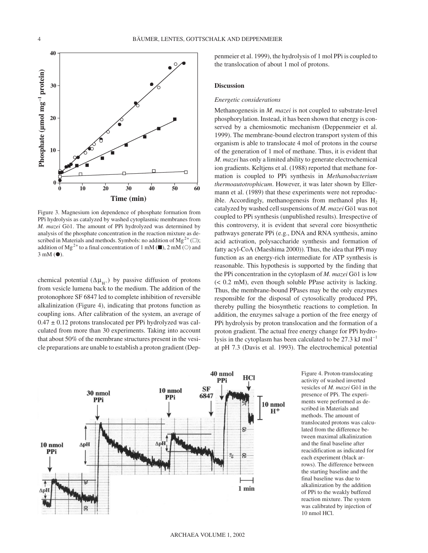

Figure 3. Magnesium ion dependence of phosphate formation from PPi hydrolysis as catalyzed by washed cytoplasmic membranes from *M. mazei* Gö1. The amount of PPi hydrolyzed was determined by analysis of the phosphate concentration in the reaction mixture as described in Materials and methods. Symbols: no addition of Mg<sup>2+</sup> ( $\Box$ ); addition of Mg<sup>2+</sup> to a final concentration of 1 mM ( $\blacksquare$ ), 2 mM ( $\bigcirc$ ) and  $3 \text{ mM}$  $\left( \bullet \right)$ .

chemical potential ( $\Delta \mu_{H^+}$ ) by passive diffusion of protons from vesicle lumena back to the medium. The addition of the protonophore SF 6847 led to complete inhibition of reversible alkalinization (Figure 4), indicating that protons function as coupling ions. After calibration of the system, an average of  $0.47 \pm 0.12$  protons translocated per PPi hydrolyzed was calculated from more than 30 experiments. Taking into account that about 50% of the membrane structures present in the vesicle preparations are unable to establish a proton gradient (Deppenmeier et al. 1999), the hydrolysis of 1 mol PPi is coupled to the translocation of about 1 mol of protons.

#### **Discussion**

### *Energetic considerations*

Methanogenesis in *M. mazei* is not coupled to substrate-level phosphorylation. Instead, it has been shown that energy is conserved by a chemiosmotic mechanism (Deppenmeier et al. 1999). The membrane-bound electron transport system of this organism is able to translocate 4 mol of protons in the course of the generation of 1 mol of methane. Thus, it is evident that *M. mazei* has only a limited ability to generate electrochemical ion gradients. Keltjens et al. (1988) reported that methane formation is coupled to PPi synthesis in *Methanobacterium thermoautotrophicum*. However, it was later shown by Ellermann et al. (1989) that these experiments were not reproducible. Accordingly, methanogenesis from methanol plus  $H_2$ catalyzed by washed cell suspensions of *M. mazei* Gö1 was not coupled to PPi synthesis (unpublished results). Irrespective of this controversy, it is evident that several core biosynthetic pathways generate PPi (e.g., DNA and RNA synthesis, amino acid activation, polysaccharide synthesis and formation of fatty acyl-CoA (Maeshima 2000)). Thus, the idea that PPi may function as an energy-rich intermediate for ATP synthesis is reasonable. This hypothesis is supported by the finding that the PPi concentration in the cytoplasm of *M. mazei* Gö1 is low (< 0.2 mM), even though soluble PPase activity is lacking. Thus, the membrane-bound PPases may be the only enzymes responsible for the disposal of cytosolically produced PPi, thereby pulling the biosynthetic reactions to completion. In addition, the enzymes salvage a portion of the free energy of PPi hydrolysis by proton translocation and the formation of a proton gradient. The actual free energy change for PPi hydrolysis in the cytoplasm has been calculated to be  $27.3 \text{ kJ} \text{ mol}^{-1}$ at pH 7.3 (Davis et al. 1993). The electrochemical potential



Figure 4. Proton-translocating activity of washed inverted vesicles of *M. mazei* Gö1 in the presence of PPi. The experiments were performed as described in Materials and methods. The amount of translocated protons was calculated from the difference between maximal alkalinization and the final baseline after reacidification as indicated for each experiment (black arrows). The difference between the starting baseline and the final baseline was due to alkalinization by the addition of PPi to the weakly buffered reaction mixture. The system was calibrated by injection of 10 nmol HCl.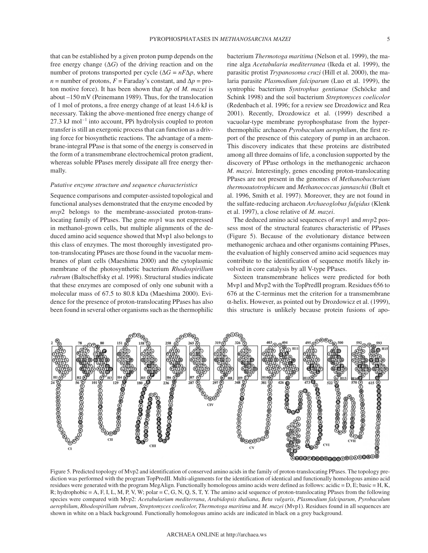that can be established by a given proton pump depends on the free energy change (∆*G*) of the driving reaction and on the number of protons transported per cycle ( $\Delta G = nF\Delta p$ , where  $n =$  number of protons,  $F =$  Faraday's constant, and  $\Delta p =$  proton motive force). It has been shown that ∆*p* of *M. mazei* is about –150 mV (Peinemann 1989). Thus, for the translocation of 1 mol of protons, a free energy change of at least 14.6 kJ is necessary. Taking the above-mentioned free energy change of  $27.3$  kJ mol<sup>-1</sup> into account, PPi hydrolysis coupled to proton transfer is still an exergonic process that can function as a driving force for biosynthetic reactions. The advantage of a membrane-integral PPase is that some of the energy is conserved in the form of a transmembrane electrochemical proton gradient, whereas soluble PPases merely dissipate all free energy thermally.

#### *Putative enzyme structure and sequence characteristics*

Sequence comparisons and computer-assisted topological and functional analyses demonstrated that the enzyme encoded by *mvp*2 belongs to the membrane-associated proton-translocating family of PPases. The gene *mvp*1 was not expressed in methanol-grown cells, but multiple alignments of the deduced amino acid sequence showed that Mvp1 also belongs to this class of enzymes. The most thoroughly investigated proton-translocating PPases are those found in the vacuolar membranes of plant cells (Maeshima 2000) and the cytoplasmic membrane of the photosynthetic bacterium *Rhodospirillum rubrum* (Baltscheffsky et al. 1998). Structural studies indicate that these enzymes are composed of only one subunit with a molecular mass of 67.5 to 80.8 kDa (Maeshima 2000). Evidence for the presence of proton-translocating PPases has also been found in several other organisms such as the thermophilic bacterium *Thermotoga maritima* (Nelson et al. 1999), the marine alga *Acetabularia mediterranea* (Ikeda et al. 1999), the parasitic protist *Trypanosoma cruzi* (Hill et al. 2000), the malaria parasite *Plasmodium falciparum* (Luo et al. 1999), the syntrophic bacterium *Syntrophus gentianae* (Schöcke and Schink 1998) and the soil bacterium *Streptomyces coelicolor* (Redenbach et al. 1996; for a review see Drozdowicz and Rea 2001). Recently, Drozdowicz et al. (1999) described a vacuolar-type membrane pyrophosphatase from the hyperthermophilic archaeon *Pyrobaculum aerophilum*, the first report of the presence of this category of pump in an archaeon. This discovery indicates that these proteins are distributed among all three domains of life, a conclusion supported by the discovery of PPase orthologs in the methanogenic archaeon *M. mazei*. Interestingly, genes encoding proton-translocating PPases are not present in the genomes of *Methanobacterium thermoautotrophicum* and *Methanococcus jannaschii* (Bult et al. 1996, Smith et al. 1997). Moreover, they are not found in the sulfate-reducing archaeon *Archaeoglobus fulgidus* (Klenk et al. 1997), a close relative of *M. mazei*.

The deduced amino acid sequences of *mvp*1 and *mvp*2 possess most of the structural features characteristic of PPases (Figure 5). Because of the evolutionary distance between methanogenic archaea and other organisms containing PPases, the evaluation of highly conserved amino acid sequences may contribute to the identification of sequence motifs likely involved in core catalysis by all V-type PPases.

Sixteen transmembrane helices were predicted for both Mvp1 and Mvp2 with the TopPredII program. Residues 656 to 676 at the C-terminus met the criterion for a transmembrane α-helix. However, as pointed out by Drozdowicz et al. (1999), this structure is unlikely because protein fusions of apo-



diction was performed with the program TopPredII. Multi-alignments for the identification of identical and functionally homologous amino acid residues were generated with the program MegAlign. Functionally homologous amino acids were defined as follows: acidic = D, E; basic = H, K, R; hydrophobic = A, F, I, L, M, P, V, W; polar = C, G, N, Q, S, T, Y. The amino acid sequence of proton-translocating PPases from the following species were compared with Mvp2: *Acetabularium mediterrana*, *Arabidopsis thaliana*, *Beta vulgaris*, *Plasmodium falciparum*, *Pyrobaculum aerophilum*, *Rhodospirillum rubrum*, *Streptomyces coelicolor*, *Thermotoga maritima* and *M. mazei* (Mvp1). Residues found in all sequences are shown in white on a black background. Functionally homologous amino acids are indicated in black on a grey background.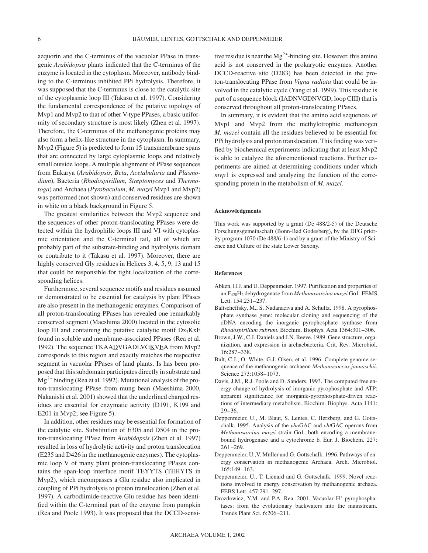aequorin and the C-terminus of the vacuolar PPase in transgenic *Arabidopsis* plants indicated that the C-terminus of the enzyme is located in the cytoplasm. Moreover, antibody binding to the C-terminus inhibited PPi hydrolysis. Therefore, it was supposed that the C-terminus is close to the catalytic site of the cytoplasmic loop III (Takasu et al. 1997). Considering the fundamental correspondence of the putative topology of Mvp1 and Mvp2 to that of other V-type PPases, a basic uniformity of secondary structure is most likely (Zhen et al. 1997). Therefore, the C-terminus of the methanogenic proteins may also form a helix-like structure in the cytoplasm. In summary, Mvp2 (Figure 5) is predicted to form 15 transmembrane spans that are connected by large cytoplasmic loops and relatively small outside loops. A multiple alignment of PPase sequences from Eukarya (*Arabidopsis*, *Beta*, *Acetabularia* and *Plasmodium*), Bacteria (*Rhodospirillum*, *Streptomyces* and *Thermotoga*) and Archaea (*Pyrobaculum*, *M. mazei* Mvp1 and Mvp2) was performed (not shown) and conserved residues are shown in white on a black background in Figure 5.

The greatest similarities between the Mvp2 sequence and the sequences of other proton-translocating PPases were detected within the hydrophilic loops III and VI with cytoplasmic orientation and the C-terminal tail, all of which are probably part of the substrate-binding and hydrolysis domain or contribute to it (Takasu et al. 1997). Moreover, there are highly conserved Gly residues in Helices 3, 4, 5, 9, 13 and 15 that could be responsible for tight localization of the corresponding helices.

Furthermore, several sequence motifs and residues assumed or demonstrated to be essential for catalysis by plant PPases are also present in the methanogenic enzymes. Comparison of all proton-translocating PPases has revealed one remarkably conserved segment (Maeshima 2000) located in the cytosolic loop III and containing the putative catalytic motif  $Dx_7KxE$ found in soluble and membrane-associated PPases (Rea et al. 1992). The sequence TKAADVGADLVGKVEA from Mvp2 corresponds to this region and exactly matches the respective segment in vacuolar PPases of land plants. Is has been proposed that this subdomain participates directly in substrate and  $Mg^{2+}$  binding (Rea et al. 1992). Mutational analysis of the proton-translocating PPase from mung bean (Maeshima 2000, Nakanishi et al. 2001) showed that the underlined charged residues are essential for enzymatic activity (D191, K199 and E201 in Mvp2; see Figure 5).

In addition, other residues may be essential for formation of the catalytic site. Substitution of E305 and D504 in the proton-translocating PPase from *Arabidopsis* (Zhen et al. 1997) resulted in loss of hydrolytic activity and proton translocation (E235 and D426 in the methanogenic enzymes). The cytoplasmic loop V of many plant proton-translocating PPases contains the span-loop interface motif TEYYTS (TEHYTS in Mvp2), which encompasses a Glu residue also implicated in coupling of PPi hydrolysis to proton translocation (Zhen et al. 1997). A carbodiimide-reactive Glu residue has been identified within the C-terminal part of the enzyme from pumpkin (Rea and Poole 1993). It was proposed that the DCCD-sensitive residue is near the  $Mg^{2+}$ -binding site. However, this amino acid is not conserved in the prokaryotic enzymes. Another DCCD-reactive site (D283) has been detected in the proton-translocating PPase from *Vigna radiata* that could be involved in the catalytic cycle (Yang et al. 1999). This residue is part of a sequence block (IADNVGDNVGD, loop CIII) that is conserved throughout all proton-translocating PPases.

In summary, it is evident that the amino acid sequences of Mvp1 and Mvp2 from the methylotrophic methanogen *M. mazei* contain all the residues believed to be essential for PPi hydrolysis and proton translocation. This finding was verified by biochemical experiments indicating that at least Mvp2 is able to catalyze the aforementioned reactions. Further experiments are aimed at determining conditions under which *mvp*1 is expressed and analyzing the function of the corresponding protein in the metabolism of *M. mazei*.

#### **Acknowledgments**

This work was supported by a grant (De 488/2-5) of the Deutsche Forschungsgemeinschaft (Bonn-Bad Godesberg), by the DFG priority program 1070 (De 488/6-1) and by a grant of the Ministry of Science and Culture of the state Lower Saxony.

#### **References**

- Abken, H.J. and U. Deppenmeier. 1997. Purification and properties of an F420H2 dehydrogenase from *Methanosarcina mazei* Gö1. FEMS Lett. 154:231–237.
- Baltscheffsky, M., S. Nadanaciva and A. Schultz. 1998. A pyrophosphate synthase gene: molecular cloning and sequencing of the cDNA encoding the inorganic pyrophosphate synthase from *Rhodospirillum rubrum*. Biochim. Biophys. Acta 1364:301–306.
- Brown, J.W., C.J. Daniels and J.N. Reeve. 1989. Gene structure, organization, and expression in archaebacteria. Crit. Rev. Microbiol. 16:287–338.
- Bult, C.J., O. White, G.J. Olsen, et al. 1996. Complete genome sequence of the methanogenic archaeon *Methanococcus jannaschii*. Science 273:1058–1073.
- Davis, J.M., R.J. Poole and D. Sanders. 1993. The computed free energy change of hydrolysis of inorganic pyrophosphate and ATP: apparent significance for inorganic-pyrophosphate-driven reactions of intermediary metabolism. Biochim. Biophys. Acta 1141: 29–36.
- Deppenmeier, U., M. Blaut, S. Lentes, C. Herzberg, and G. Gottschalk. 1995. Analysis of the *vho*GAC and *vht*GAC operons from *Methanosarcina mazei* strain Gö1, both encoding a membranebound hydrogenase and a cytochrome b. Eur. J. Biochem. 227: 261–269.
- Deppenmeier, U.,V. Müller and G. Gottschalk. 1996. Pathways of energy conservation in methanogenic Archaea. Arch. Microbiol. 165:149–163.
- Deppenmeier, U., T. Lienard and G. Gottschalk. 1999. Novel reactions involved in energy conservation by methanogenic archaea. FEBS Lett. 457:291–297.
- Drozdowicz, Y.M. and P.A. Rea. 2001. Vacuolar H<sup>+</sup> pyrophosphatases: from the evolutionary backwaters into the mainstream. Trends Plant Sci. 6:206–211.